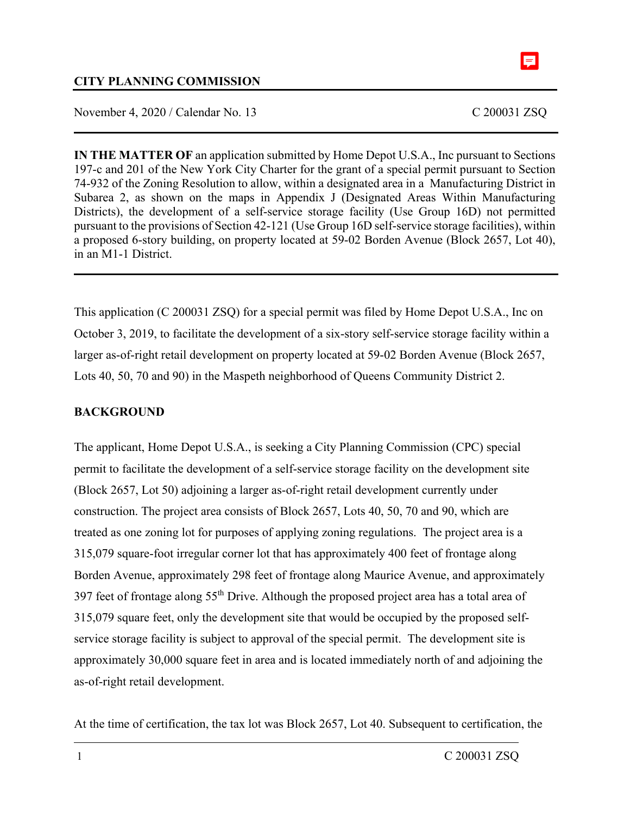

### **CITY PLANNING COMMISSION**

November 4, 2020 / Calendar No. 13 C 200031 ZSQ

**IN THE MATTER OF** an application submitted by Home Depot U.S.A., Inc pursuant to Sections 197-c and 201 of the New York City Charter for the grant of a special permit pursuant to Section 74-932 of the Zoning Resolution to allow, within a designated area in a Manufacturing District in Subarea 2, as shown on the maps in Appendix J (Designated Areas Within Manufacturing Districts), the development of a self-service storage facility (Use Group 16D) not permitted pursuant to the provisions of Section 42-121 (Use Group 16D self-service storage facilities), within a proposed 6-story building, on property located at 59-02 Borden Avenue (Block 2657, Lot 40), in an M1-1 District.

This application (C 200031 ZSQ) for a special permit was filed by Home Depot U.S.A., Inc on October 3, 2019, to facilitate the development of a six-story self-service storage facility within a larger as-of-right retail development on property located at 59-02 Borden Avenue (Block 2657, Lots 40, 50, 70 and 90) in the Maspeth neighborhood of Queens Community District 2.

### **BACKGROUND**

The applicant, Home Depot U.S.A., is seeking a City Planning Commission (CPC) special permit to facilitate the development of a self-service storage facility on the development site (Block 2657, Lot 50) adjoining a larger as-of-right retail development currently under construction. The project area consists of Block 2657, Lots 40, 50, 70 and 90, which are treated as one zoning lot for purposes of applying zoning regulations. The project area is a 315,079 square-foot irregular corner lot that has approximately 400 feet of frontage along Borden Avenue, approximately 298 feet of frontage along Maurice Avenue, and approximately 397 feet of frontage along 55th Drive. Although the proposed project area has a total area of 315,079 square feet, only the development site that would be occupied by the proposed selfservice storage facility is subject to approval of the special permit. The development site is approximately 30,000 square feet in area and is located immediately north of and adjoining the as-of-right retail development.

At the time of certification, the tax lot was Block 2657, Lot 40. Subsequent to certification, the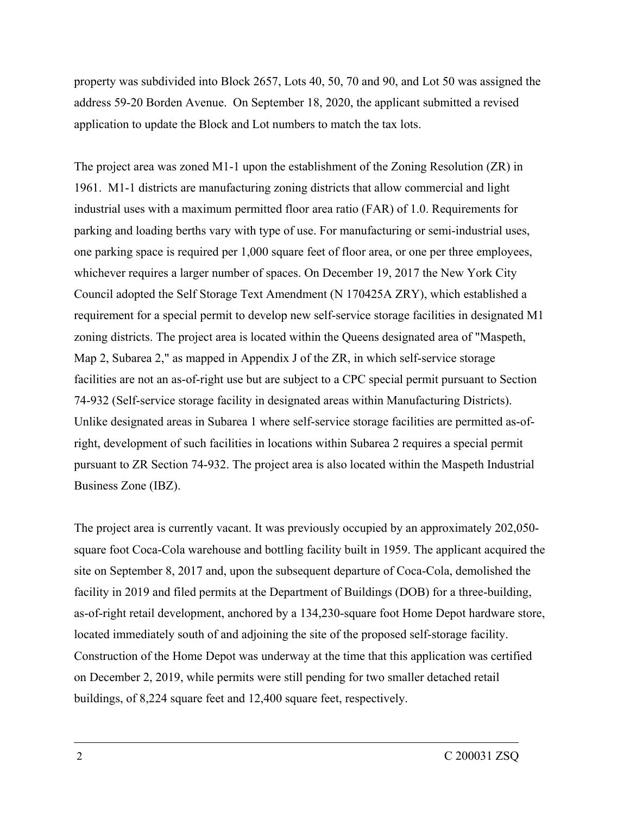property was subdivided into Block 2657, Lots 40, 50, 70 and 90, and Lot 50 was assigned the address 59-20 Borden Avenue. On September 18, 2020, the applicant submitted a revised application to update the Block and Lot numbers to match the tax lots.

The project area was zoned M1-1 upon the establishment of the Zoning Resolution (ZR) in 1961. M1-1 districts are manufacturing zoning districts that allow commercial and light industrial uses with a maximum permitted floor area ratio (FAR) of 1.0. Requirements for parking and loading berths vary with type of use. For manufacturing or semi-industrial uses, one parking space is required per 1,000 square feet of floor area, or one per three employees, whichever requires a larger number of spaces. On December 19, 2017 the New York City Council adopted the Self Storage Text Amendment (N 170425A ZRY), which established a requirement for a special permit to develop new self-service storage facilities in designated M1 zoning districts. The project area is located within the Queens designated area of "Maspeth, Map 2, Subarea 2," as mapped in Appendix J of the ZR, in which self-service storage facilities are not an as-of-right use but are subject to a CPC special permit pursuant to Section 74-932 (Self-service storage facility in designated areas within Manufacturing Districts). Unlike designated areas in Subarea 1 where self-service storage facilities are permitted as-ofright, development of such facilities in locations within Subarea 2 requires a special permit pursuant to ZR Section 74-932. The project area is also located within the Maspeth Industrial Business Zone (IBZ).

The project area is currently vacant. It was previously occupied by an approximately 202,050 square foot Coca-Cola warehouse and bottling facility built in 1959. The applicant acquired the site on September 8, 2017 and, upon the subsequent departure of Coca-Cola, demolished the facility in 2019 and filed permits at the Department of Buildings (DOB) for a three-building, as-of-right retail development, anchored by a 134,230-square foot Home Depot hardware store, located immediately south of and adjoining the site of the proposed self-storage facility. Construction of the Home Depot was underway at the time that this application was certified on December 2, 2019, while permits were still pending for two smaller detached retail buildings, of 8,224 square feet and 12,400 square feet, respectively.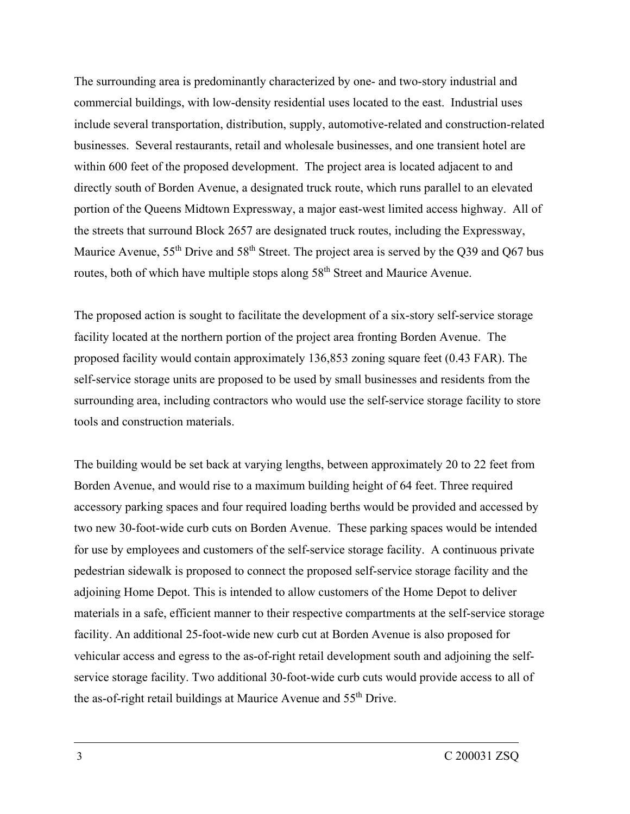The surrounding area is predominantly characterized by one- and two-story industrial and commercial buildings, with low-density residential uses located to the east. Industrial uses include several transportation, distribution, supply, automotive-related and construction-related businesses. Several restaurants, retail and wholesale businesses, and one transient hotel are within 600 feet of the proposed development. The project area is located adjacent to and directly south of Borden Avenue, a designated truck route, which runs parallel to an elevated portion of the Queens Midtown Expressway, a major east-west limited access highway. All of the streets that surround Block 2657 are designated truck routes, including the Expressway, Maurice Avenue, 55<sup>th</sup> Drive and 58<sup>th</sup> Street. The project area is served by the Q39 and Q67 bus routes, both of which have multiple stops along 58<sup>th</sup> Street and Maurice Avenue.

The proposed action is sought to facilitate the development of a six-story self-service storage facility located at the northern portion of the project area fronting Borden Avenue. The proposed facility would contain approximately 136,853 zoning square feet (0.43 FAR). The self-service storage units are proposed to be used by small businesses and residents from the surrounding area, including contractors who would use the self-service storage facility to store tools and construction materials.

The building would be set back at varying lengths, between approximately 20 to 22 feet from Borden Avenue, and would rise to a maximum building height of 64 feet. Three required accessory parking spaces and four required loading berths would be provided and accessed by two new 30-foot-wide curb cuts on Borden Avenue. These parking spaces would be intended for use by employees and customers of the self-service storage facility. A continuous private pedestrian sidewalk is proposed to connect the proposed self-service storage facility and the adjoining Home Depot. This is intended to allow customers of the Home Depot to deliver materials in a safe, efficient manner to their respective compartments at the self-service storage facility. An additional 25-foot-wide new curb cut at Borden Avenue is also proposed for vehicular access and egress to the as-of-right retail development south and adjoining the selfservice storage facility. Two additional 30-foot-wide curb cuts would provide access to all of the as-of-right retail buildings at Maurice Avenue and 55<sup>th</sup> Drive.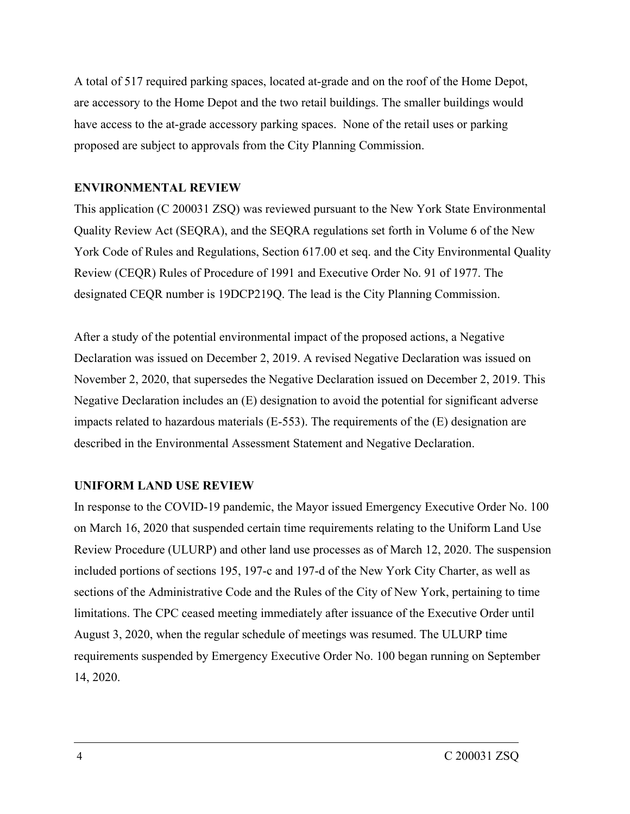A total of 517 required parking spaces, located at-grade and on the roof of the Home Depot, are accessory to the Home Depot and the two retail buildings. The smaller buildings would have access to the at-grade accessory parking spaces. None of the retail uses or parking proposed are subject to approvals from the City Planning Commission.

### **ENVIRONMENTAL REVIEW**

This application (C 200031 ZSQ) was reviewed pursuant to the New York State Environmental Quality Review Act (SEQRA), and the SEQRA regulations set forth in Volume 6 of the New York Code of Rules and Regulations, Section 617.00 et seq. and the City Environmental Quality Review (CEQR) Rules of Procedure of 1991 and Executive Order No. 91 of 1977. The designated CEQR number is 19DCP219Q. The lead is the City Planning Commission.

After a study of the potential environmental impact of the proposed actions, a Negative Declaration was issued on December 2, 2019. A revised Negative Declaration was issued on November 2, 2020, that supersedes the Negative Declaration issued on December 2, 2019. This Negative Declaration includes an (E) designation to avoid the potential for significant adverse impacts related to hazardous materials (E-553). The requirements of the (E) designation are described in the Environmental Assessment Statement and Negative Declaration.

### **UNIFORM LAND USE REVIEW**

In response to the COVID-19 pandemic, the Mayor issued Emergency Executive Order No. 100 on March 16, 2020 that suspended certain time requirements relating to the Uniform Land Use Review Procedure (ULURP) and other land use processes as of March 12, 2020. The suspension included portions of sections 195, 197-c and 197-d of the New York City Charter, as well as sections of the Administrative Code and the Rules of the City of New York, pertaining to time limitations. The CPC ceased meeting immediately after issuance of the Executive Order until August 3, 2020, when the regular schedule of meetings was resumed. The ULURP time requirements suspended by Emergency Executive Order No. 100 began running on September 14, 2020.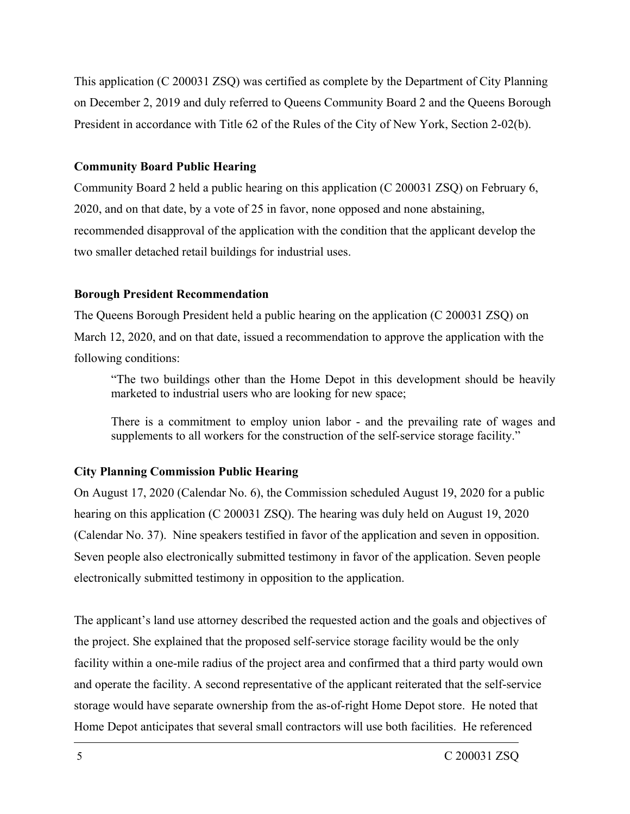This application (C 200031 ZSQ) was certified as complete by the Department of City Planning on December 2, 2019 and duly referred to Queens Community Board 2 and the Queens Borough President in accordance with Title 62 of the Rules of the City of New York, Section 2-02(b).

### **Community Board Public Hearing**

Community Board 2 held a public hearing on this application (C 200031 ZSQ) on February 6, 2020, and on that date, by a vote of 25 in favor, none opposed and none abstaining, recommended disapproval of the application with the condition that the applicant develop the two smaller detached retail buildings for industrial uses.

### **Borough President Recommendation**

The Queens Borough President held a public hearing on the application (C 200031 ZSQ) on March 12, 2020, and on that date, issued a recommendation to approve the application with the following conditions:

"The two buildings other than the Home Depot in this development should be heavily marketed to industrial users who are looking for new space;

There is a commitment to employ union labor - and the prevailing rate of wages and supplements to all workers for the construction of the self-service storage facility."

### **City Planning Commission Public Hearing**

On August 17, 2020 (Calendar No. 6), the Commission scheduled August 19, 2020 for a public hearing on this application (C 200031 ZSQ). The hearing was duly held on August 19, 2020 (Calendar No. 37). Nine speakers testified in favor of the application and seven in opposition. Seven people also electronically submitted testimony in favor of the application. Seven people electronically submitted testimony in opposition to the application.

The applicant's land use attorney described the requested action and the goals and objectives of the project. She explained that the proposed self-service storage facility would be the only facility within a one-mile radius of the project area and confirmed that a third party would own and operate the facility. A second representative of the applicant reiterated that the self-service storage would have separate ownership from the as-of-right Home Depot store. He noted that Home Depot anticipates that several small contractors will use both facilities. He referenced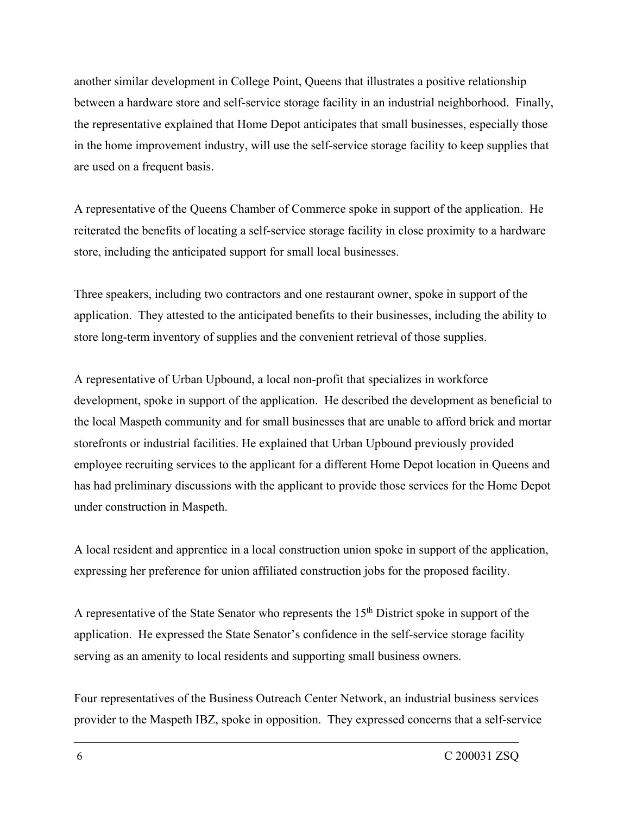another similar development in College Point, Queens that illustrates a positive relationship between a hardware store and self-service storage facility in an industrial neighborhood. Finally, the representative explained that Home Depot anticipates that small businesses, especially those in the home improvement industry, will use the self-service storage facility to keep supplies that are used on a frequent basis.

A representative of the Queens Chamber of Commerce spoke in support of the application. He reiterated the benefits of locating a self-service storage facility in close proximity to a hardware store, including the anticipated support for small local businesses.

Three speakers, including two contractors and one restaurant owner, spoke in support of the application. They attested to the anticipated benefits to their businesses, including the ability to store long-term inventory of supplies and the convenient retrieval of those supplies.

A representative of Urban Upbound, a local non-profit that specializes in workforce development, spoke in support of the application. He described the development as beneficial to the local Maspeth community and for small businesses that are unable to afford brick and mortar storefronts or industrial facilities. He explained that Urban Upbound previously provided employee recruiting services to the applicant for a different Home Depot location in Queens and has had preliminary discussions with the applicant to provide those services for the Home Depot under construction in Maspeth.

A local resident and apprentice in a local construction union spoke in support of the application, expressing her preference for union affiliated construction jobs for the proposed facility.

A representative of the State Senator who represents the  $15<sup>th</sup>$  District spoke in support of the application. He expressed the State Senator's confidence in the self-service storage facility serving as an amenity to local residents and supporting small business owners.

Four representatives of the Business Outreach Center Network, an industrial business services provider to the Maspeth IBZ, spoke in opposition. They expressed concerns that a self-service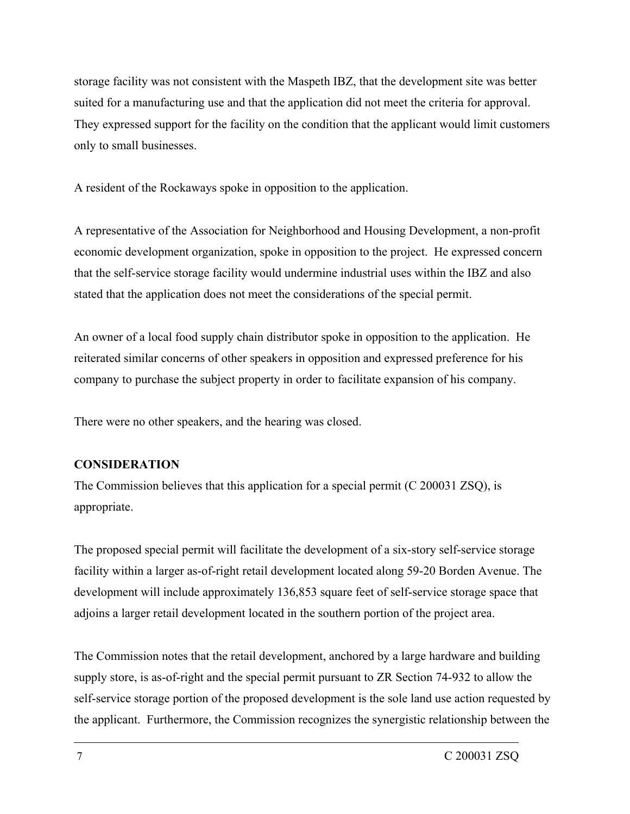storage facility was not consistent with the Maspeth IBZ, that the development site was better suited for a manufacturing use and that the application did not meet the criteria for approval. They expressed support for the facility on the condition that the applicant would limit customers only to small businesses.

A resident of the Rockaways spoke in opposition to the application.

A representative of the Association for Neighborhood and Housing Development, a non-profit economic development organization, spoke in opposition to the project. He expressed concern that the self-service storage facility would undermine industrial uses within the IBZ and also stated that the application does not meet the considerations of the special permit.

An owner of a local food supply chain distributor spoke in opposition to the application. He reiterated similar concerns of other speakers in opposition and expressed preference for his company to purchase the subject property in order to facilitate expansion of his company.

There were no other speakers, and the hearing was closed.

### **CONSIDERATION**

The Commission believes that this application for a special permit (C 200031 ZSQ), is appropriate.

The proposed special permit will facilitate the development of a six-story self-service storage facility within a larger as-of-right retail development located along 59-20 Borden Avenue. The development will include approximately 136,853 square feet of self-service storage space that adjoins a larger retail development located in the southern portion of the project area.

The Commission notes that the retail development, anchored by a large hardware and building supply store, is as-of-right and the special permit pursuant to ZR Section 74-932 to allow the self-service storage portion of the proposed development is the sole land use action requested by the applicant. Furthermore, the Commission recognizes the synergistic relationship between the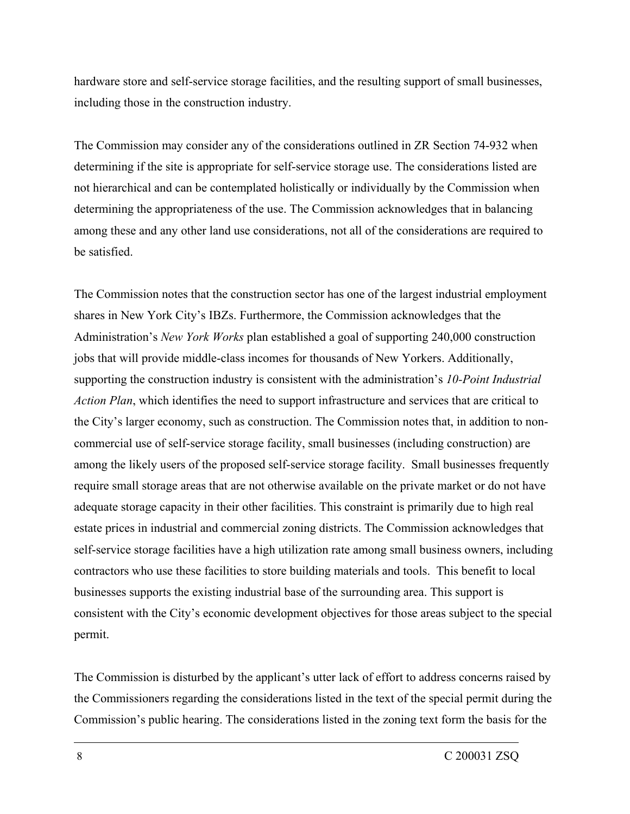hardware store and self-service storage facilities, and the resulting support of small businesses, including those in the construction industry.

The Commission may consider any of the considerations outlined in ZR Section 74-932 when determining if the site is appropriate for self-service storage use. The considerations listed are not hierarchical and can be contemplated holistically or individually by the Commission when determining the appropriateness of the use. The Commission acknowledges that in balancing among these and any other land use considerations, not all of the considerations are required to be satisfied.

The Commission notes that the construction sector has one of the largest industrial employment shares in New York City's IBZs. Furthermore, the Commission acknowledges that the Administration's *New York Works* plan established a goal of supporting 240,000 construction jobs that will provide middle-class incomes for thousands of New Yorkers. Additionally, supporting the construction industry is consistent with the administration's *10-Point Industrial Action Plan*, which identifies the need to support infrastructure and services that are critical to the City's larger economy, such as construction. The Commission notes that, in addition to noncommercial use of self-service storage facility, small businesses (including construction) are among the likely users of the proposed self-service storage facility. Small businesses frequently require small storage areas that are not otherwise available on the private market or do not have adequate storage capacity in their other facilities. This constraint is primarily due to high real estate prices in industrial and commercial zoning districts. The Commission acknowledges that self-service storage facilities have a high utilization rate among small business owners, including contractors who use these facilities to store building materials and tools. This benefit to local businesses supports the existing industrial base of the surrounding area. This support is consistent with the City's economic development objectives for those areas subject to the special permit.

The Commission is disturbed by the applicant's utter lack of effort to address concerns raised by the Commissioners regarding the considerations listed in the text of the special permit during the Commission's public hearing. The considerations listed in the zoning text form the basis for the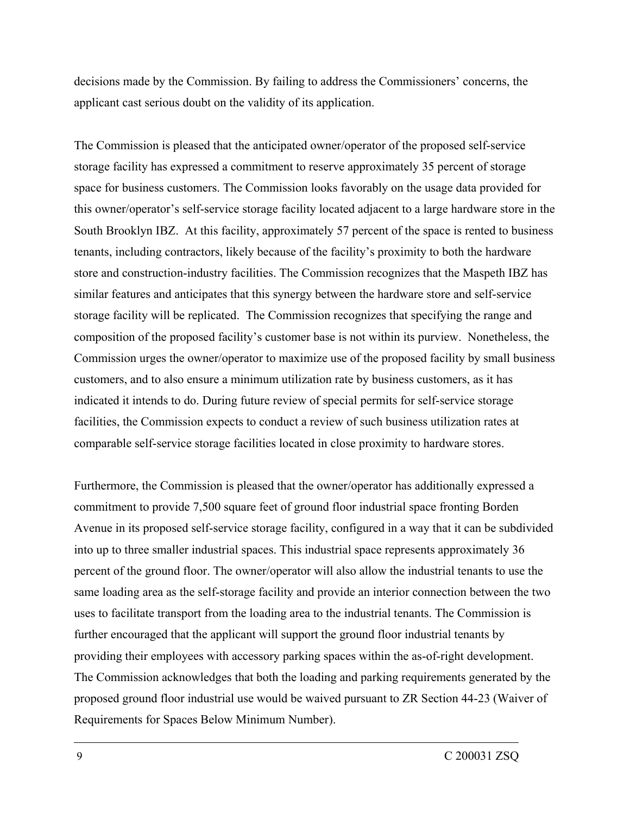decisions made by the Commission. By failing to address the Commissioners' concerns, the applicant cast serious doubt on the validity of its application.

The Commission is pleased that the anticipated owner/operator of the proposed self-service storage facility has expressed a commitment to reserve approximately 35 percent of storage space for business customers. The Commission looks favorably on the usage data provided for this owner/operator's self-service storage facility located adjacent to a large hardware store in the South Brooklyn IBZ. At this facility, approximately 57 percent of the space is rented to business tenants, including contractors, likely because of the facility's proximity to both the hardware store and construction-industry facilities. The Commission recognizes that the Maspeth IBZ has similar features and anticipates that this synergy between the hardware store and self-service storage facility will be replicated. The Commission recognizes that specifying the range and composition of the proposed facility's customer base is not within its purview. Nonetheless, the Commission urges the owner/operator to maximize use of the proposed facility by small business customers, and to also ensure a minimum utilization rate by business customers, as it has indicated it intends to do. During future review of special permits for self-service storage facilities, the Commission expects to conduct a review of such business utilization rates at comparable self-service storage facilities located in close proximity to hardware stores.

Furthermore, the Commission is pleased that the owner/operator has additionally expressed a commitment to provide 7,500 square feet of ground floor industrial space fronting Borden Avenue in its proposed self-service storage facility, configured in a way that it can be subdivided into up to three smaller industrial spaces. This industrial space represents approximately 36 percent of the ground floor. The owner/operator will also allow the industrial tenants to use the same loading area as the self-storage facility and provide an interior connection between the two uses to facilitate transport from the loading area to the industrial tenants. The Commission is further encouraged that the applicant will support the ground floor industrial tenants by providing their employees with accessory parking spaces within the as-of-right development. The Commission acknowledges that both the loading and parking requirements generated by the proposed ground floor industrial use would be waived pursuant to ZR Section 44-23 (Waiver of Requirements for Spaces Below Minimum Number).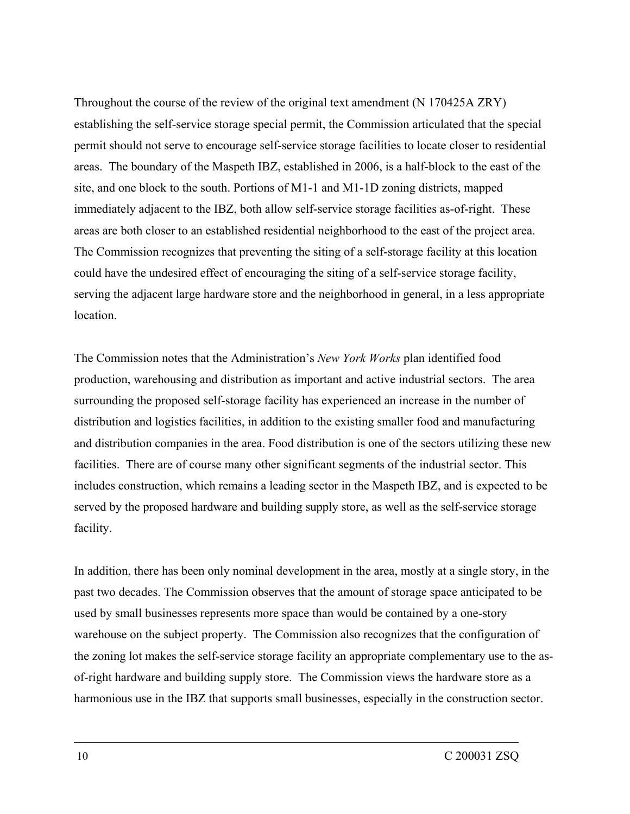Throughout the course of the review of the original text amendment (N 170425A ZRY) establishing the self-service storage special permit, the Commission articulated that the special permit should not serve to encourage self-service storage facilities to locate closer to residential areas. The boundary of the Maspeth IBZ, established in 2006, is a half-block to the east of the site, and one block to the south. Portions of M1-1 and M1-1D zoning districts, mapped immediately adjacent to the IBZ, both allow self-service storage facilities as-of-right. These areas are both closer to an established residential neighborhood to the east of the project area. The Commission recognizes that preventing the siting of a self-storage facility at this location could have the undesired effect of encouraging the siting of a self-service storage facility, serving the adjacent large hardware store and the neighborhood in general, in a less appropriate location.

The Commission notes that the Administration's *New York Works* plan identified food production, warehousing and distribution as important and active industrial sectors. The area surrounding the proposed self-storage facility has experienced an increase in the number of distribution and logistics facilities, in addition to the existing smaller food and manufacturing and distribution companies in the area. Food distribution is one of the sectors utilizing these new facilities. There are of course many other significant segments of the industrial sector. This includes construction, which remains a leading sector in the Maspeth IBZ, and is expected to be served by the proposed hardware and building supply store, as well as the self-service storage facility.

In addition, there has been only nominal development in the area, mostly at a single story, in the past two decades. The Commission observes that the amount of storage space anticipated to be used by small businesses represents more space than would be contained by a one-story warehouse on the subject property. The Commission also recognizes that the configuration of the zoning lot makes the self-service storage facility an appropriate complementary use to the asof-right hardware and building supply store. The Commission views the hardware store as a harmonious use in the IBZ that supports small businesses, especially in the construction sector.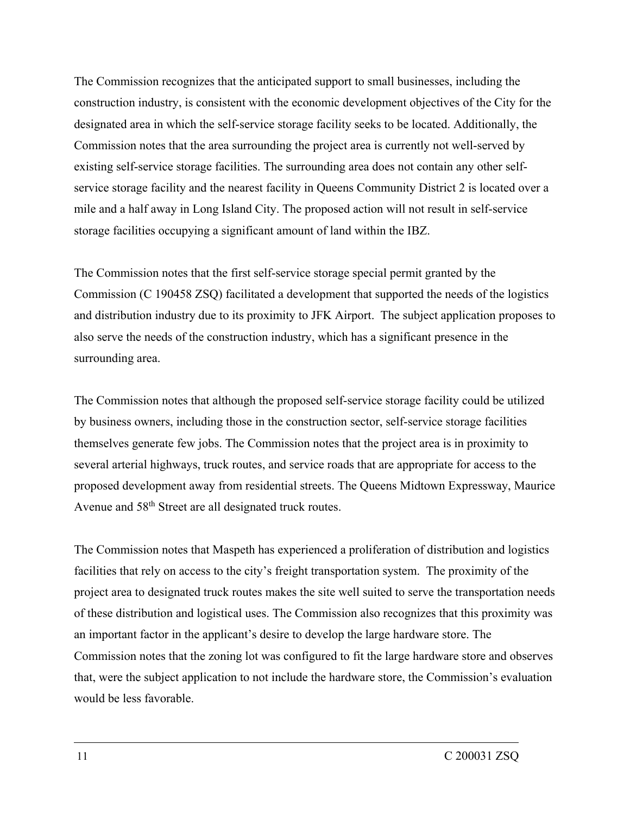The Commission recognizes that the anticipated support to small businesses, including the construction industry, is consistent with the economic development objectives of the City for the designated area in which the self-service storage facility seeks to be located. Additionally, the Commission notes that the area surrounding the project area is currently not well-served by existing self-service storage facilities. The surrounding area does not contain any other selfservice storage facility and the nearest facility in Queens Community District 2 is located over a mile and a half away in Long Island City. The proposed action will not result in self-service storage facilities occupying a significant amount of land within the IBZ.

The Commission notes that the first self-service storage special permit granted by the Commission (C 190458 ZSQ) facilitated a development that supported the needs of the logistics and distribution industry due to its proximity to JFK Airport. The subject application proposes to also serve the needs of the construction industry, which has a significant presence in the surrounding area.

The Commission notes that although the proposed self-service storage facility could be utilized by business owners, including those in the construction sector, self-service storage facilities themselves generate few jobs. The Commission notes that the project area is in proximity to several arterial highways, truck routes, and service roads that are appropriate for access to the proposed development away from residential streets. The Queens Midtown Expressway, Maurice Avenue and 58th Street are all designated truck routes.

The Commission notes that Maspeth has experienced a proliferation of distribution and logistics facilities that rely on access to the city's freight transportation system. The proximity of the project area to designated truck routes makes the site well suited to serve the transportation needs of these distribution and logistical uses. The Commission also recognizes that this proximity was an important factor in the applicant's desire to develop the large hardware store. The Commission notes that the zoning lot was configured to fit the large hardware store and observes that, were the subject application to not include the hardware store, the Commission's evaluation would be less favorable.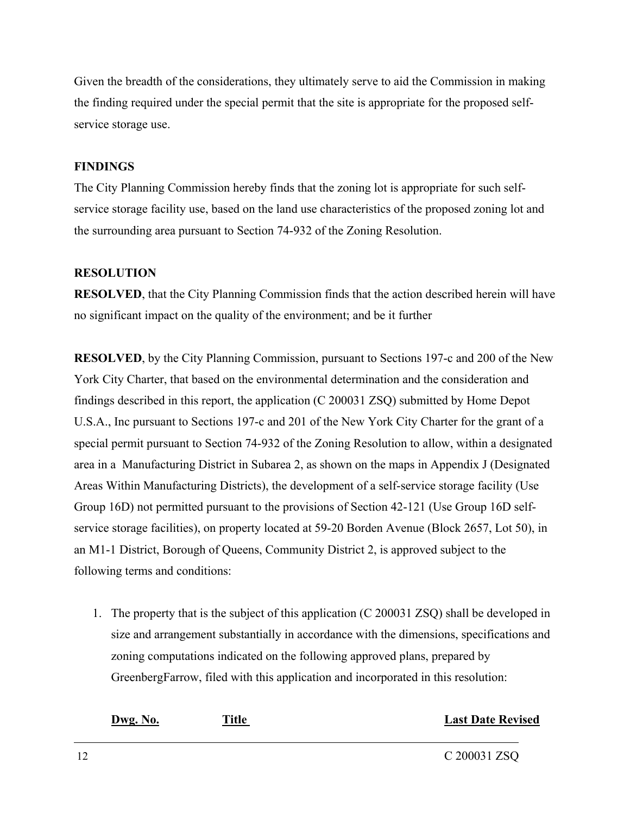Given the breadth of the considerations, they ultimately serve to aid the Commission in making the finding required under the special permit that the site is appropriate for the proposed selfservice storage use.

### **FINDINGS**

The City Planning Commission hereby finds that the zoning lot is appropriate for such selfservice storage facility use, based on the land use characteristics of the proposed zoning lot and the surrounding area pursuant to Section 74-932 of the Zoning Resolution.

### **RESOLUTION**

**RESOLVED**, that the City Planning Commission finds that the action described herein will have no significant impact on the quality of the environment; and be it further

**RESOLVED**, by the City Planning Commission, pursuant to Sections 197-c and 200 of the New York City Charter, that based on the environmental determination and the consideration and findings described in this report, the application (C 200031 ZSQ) submitted by Home Depot U.S.A., Inc pursuant to Sections 197-c and 201 of the New York City Charter for the grant of a special permit pursuant to Section 74-932 of the Zoning Resolution to allow, within a designated area in a Manufacturing District in Subarea 2, as shown on the maps in Appendix J (Designated Areas Within Manufacturing Districts), the development of a self-service storage facility (Use Group 16D) not permitted pursuant to the provisions of Section 42-121 (Use Group 16D selfservice storage facilities), on property located at 59-20 Borden Avenue (Block 2657, Lot 50), in an M1-1 District, Borough of Queens, Community District 2, is approved subject to the following terms and conditions:

1. The property that is the subject of this application (C 200031 ZSQ) shall be developed in size and arrangement substantially in accordance with the dimensions, specifications and zoning computations indicated on the following approved plans, prepared by GreenbergFarrow, filed with this application and incorporated in this resolution:

### **Dwg. No. Title Last Date Revised**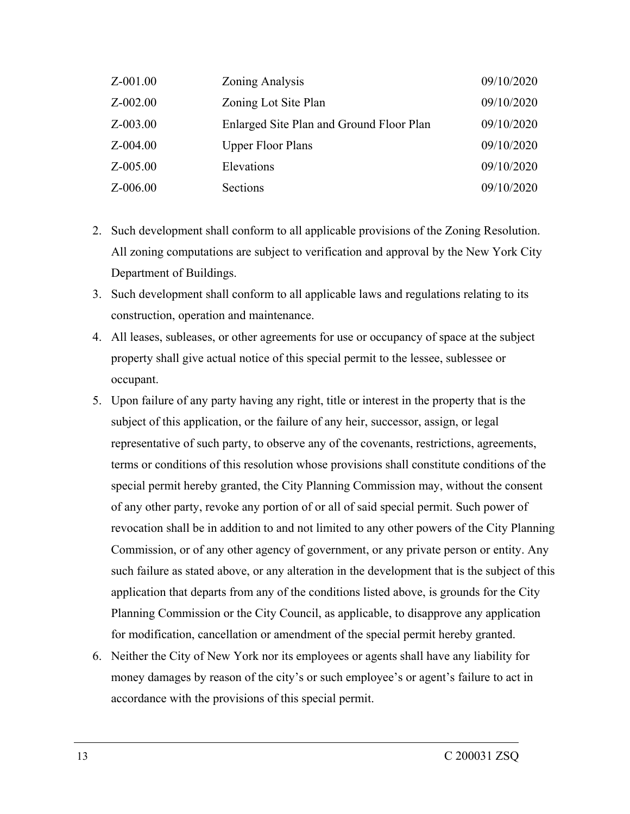| Z-001.00     | Zoning Analysis                          | 09/10/2020 |
|--------------|------------------------------------------|------------|
| $Z - 002.00$ | Zoning Lot Site Plan                     | 09/10/2020 |
| $Z - 003.00$ | Enlarged Site Plan and Ground Floor Plan | 09/10/2020 |
| $Z - 004.00$ | <b>Upper Floor Plans</b>                 | 09/10/2020 |
| $Z - 005.00$ | Elevations                               | 09/10/2020 |
| $Z - 006.00$ | Sections                                 | 09/10/2020 |

- 2. Such development shall conform to all applicable provisions of the Zoning Resolution. All zoning computations are subject to verification and approval by the New York City Department of Buildings.
- 3. Such development shall conform to all applicable laws and regulations relating to its construction, operation and maintenance.
- 4. All leases, subleases, or other agreements for use or occupancy of space at the subject property shall give actual notice of this special permit to the lessee, sublessee or occupant.
- 5. Upon failure of any party having any right, title or interest in the property that is the subject of this application, or the failure of any heir, successor, assign, or legal representative of such party, to observe any of the covenants, restrictions, agreements, terms or conditions of this resolution whose provisions shall constitute conditions of the special permit hereby granted, the City Planning Commission may, without the consent of any other party, revoke any portion of or all of said special permit. Such power of revocation shall be in addition to and not limited to any other powers of the City Planning Commission, or of any other agency of government, or any private person or entity. Any such failure as stated above, or any alteration in the development that is the subject of this application that departs from any of the conditions listed above, is grounds for the City Planning Commission or the City Council, as applicable, to disapprove any application for modification, cancellation or amendment of the special permit hereby granted.
- 6. Neither the City of New York nor its employees or agents shall have any liability for money damages by reason of the city's or such employee's or agent's failure to act in accordance with the provisions of this special permit.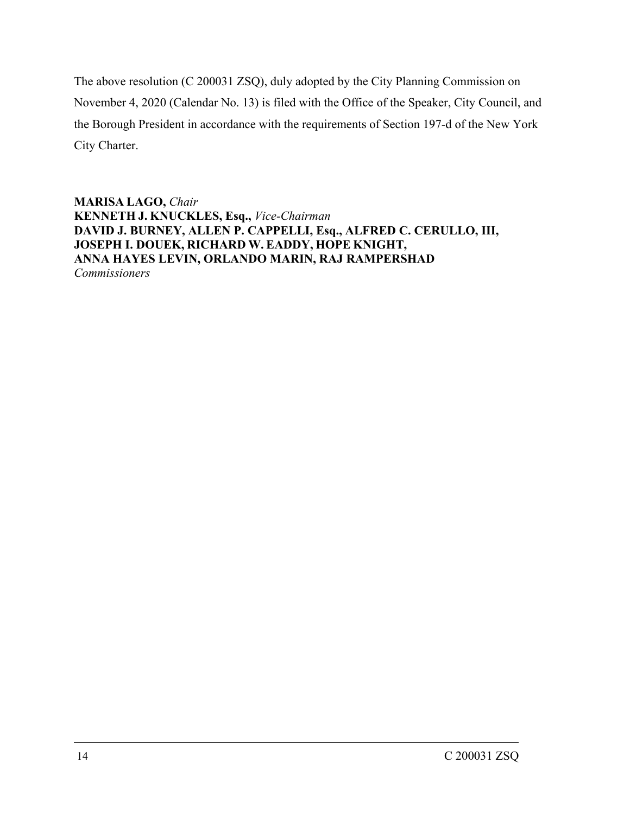The above resolution (C 200031 ZSQ), duly adopted by the City Planning Commission on November 4, 2020 (Calendar No. 13) is filed with the Office of the Speaker, City Council, and the Borough President in accordance with the requirements of Section 197-d of the New York City Charter.

**MARISA LAGO,** *Chair* **KENNETH J. KNUCKLES, Esq.,** *Vice-Chairman* **DAVID J. BURNEY, ALLEN P. CAPPELLI, Esq., ALFRED C. CERULLO, III, JOSEPH I. DOUEK, RICHARD W. EADDY, HOPE KNIGHT, ANNA HAYES LEVIN, ORLANDO MARIN, RAJ RAMPERSHAD** *Commissioners*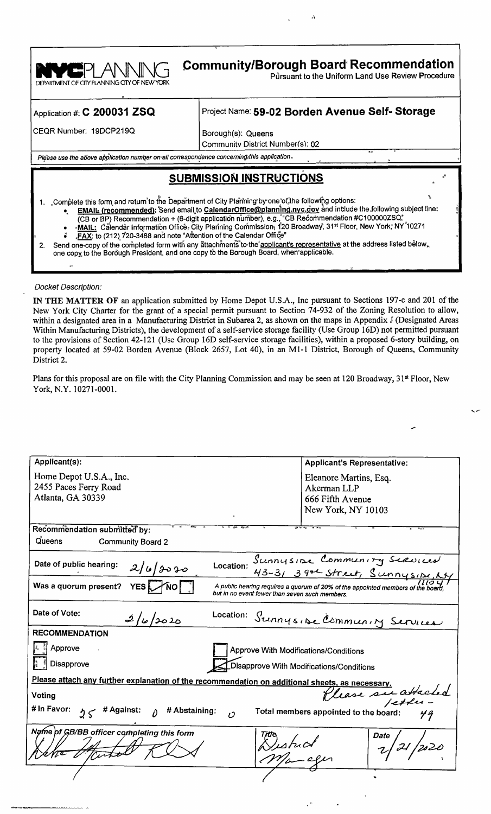

Application #: C 200031 ZSQ

### Project Name: 59-02 Borden Avenue Self- Storage

 $\ddot{\ddot{\cdot}}$ 

CEQR Number: 19DCP219Q

Borough(s): Queens

Community District Number(s): 02

Please use the above application number on all correspondence concerning this application.

## **SUBMISSION INSTRUCTIONS**

- 1. Complete this form and return to the Department of City Plarining by one of the following options: EMAIL (recommended): Send email to CalendarOffice@planning.nyc.gov and include the following subject line:
	- (CB or BP) Recommendation + (6-digit application number), e.g., "CB Recommendation #C100000ZSQ."<br>-MAIL: Calendar Information Officer City Planning Commission, 120 Broadway, 31st Floor, New York, NY 10271
	- FAX: to (212) 720-3488 and note "Attention of the Calendar Office'
- Send one copy of the completed form with any attachments to the applicant's representative at the address listed below.  $2.$ one copy to the Borough President, and one copy to the Borough Board, when applicable.

#### **Docket Description:**

IN THE MATTER OF an application submitted by Home Depot U.S.A., Inc pursuant to Sections 197-c and 201 of the New York City Charter for the grant of a special permit pursuant to Section 74-932 of the Zoning Resolution to allow, within a designated area in a Manufacturing District in Subarea 2, as shown on the maps in Appendix J (Designated Areas Within Manufacturing Districts), the development of a self-service storage facility (Use Group 16D) not permitted pursuant to the provisions of Section 42-121 (Use Group 16D self-service storage facilities), within a proposed 6-story building, on property located at 59-02 Borden Avenue (Block 2657, Lot 40), in an M1-1 District, Borough of Queens, Community District 2.

Plans for this proposal are on file with the City Planning Commission and may be seen at 120 Broadway, 31st Floor, New York, N.Y. 10271-0001.

| Applicant(s):                                                                                                | <b>Applicant's Representative:</b>                                                                                                |  |  |
|--------------------------------------------------------------------------------------------------------------|-----------------------------------------------------------------------------------------------------------------------------------|--|--|
| Home Depot U.S.A., Inc.                                                                                      | Eleanore Martins, Esq.                                                                                                            |  |  |
| 2455 Paces Ferry Road                                                                                        | Akerman LLP                                                                                                                       |  |  |
| Atlanta, GA 30339                                                                                            | 666 Fifth Avenue                                                                                                                  |  |  |
|                                                                                                              | New York, NY 10103                                                                                                                |  |  |
| Recommendation submitted by:                                                                                 |                                                                                                                                   |  |  |
| Queens<br><b>Community Board 2</b>                                                                           |                                                                                                                                   |  |  |
| Date of public hearing:<br>Location:                                                                         | Sunnysine Community Serviced<br>43-31 39th Street, Sunnysine Ny                                                                   |  |  |
| 2/6/2020                                                                                                     |                                                                                                                                   |  |  |
| Was a quorum present?<br><b>YES</b>                                                                          | A public hearing requires a quorum of 20% of the appointed members of the board<br>but in no event fewer than seven such members. |  |  |
| Date of Vote:<br>Location:<br>2/6/2020                                                                       | Sunnysise Community Services                                                                                                      |  |  |
| <b>RECOMMENDATION</b>                                                                                        |                                                                                                                                   |  |  |
| Approve                                                                                                      | Approve With Modifications/Conditions                                                                                             |  |  |
| Disapprove                                                                                                   | Disapprove With Modifications/Conditions                                                                                          |  |  |
|                                                                                                              |                                                                                                                                   |  |  |
| Please attach any further explanation of the recommendation on additional sheets, as necessary               |                                                                                                                                   |  |  |
| lease su attached<br>Voting                                                                                  |                                                                                                                                   |  |  |
| # In Favor:<br>$25$ # Against: $\theta$<br># Abstaining:<br>Total members appointed to the board:<br>$\iota$ |                                                                                                                                   |  |  |
| Name of GB/BB officer completing this form<br>Date                                                           |                                                                                                                                   |  |  |
|                                                                                                              |                                                                                                                                   |  |  |
|                                                                                                              |                                                                                                                                   |  |  |
|                                                                                                              |                                                                                                                                   |  |  |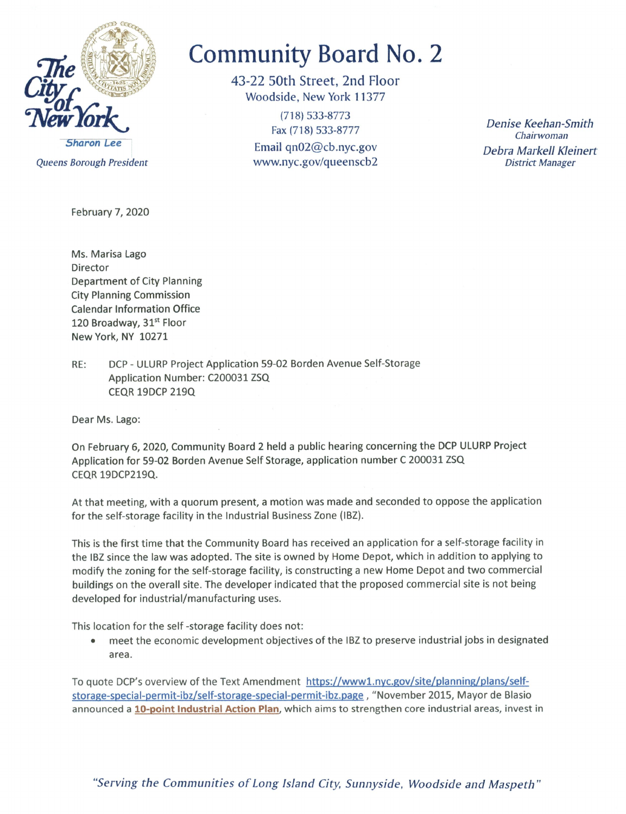

Queens Borough President

February 7, 2020

# **Community Board No. 2**

43-22 50th Street, 2nd Floor Woodside, New York 11377

> $(718) 533 - 8773$ Fax (718) 533-8777 Email  $qn02@cb.nyc.gov$ www.nyc.gov/queenscb2

Denise Keehan-Smith Chairwoman Debra Markell Kleinert **District Manager** 

Ms. Marisa Lago Director **Department of City Planning City Planning Commission Calendar Information Office** 120 Broadway, 31st Floor New York, NY 10271

RE: DCP - ULURP Project Application 59-02 Borden Avenue Self-Storage Application Number: C200031 ZSQ **CEQR 19DCP 219Q** 

Dear Ms. Lago:

On February 6, 2020, Community Board 2 held a public hearing concerning the DCP ULURP Project Application for 59-02 Borden Avenue Self Storage, application number C 200031 ZSQ **CEQR 19DCP219Q.** 

At that meeting, with a quorum present, a motion was made and seconded to oppose the application for the self-storage facility in the Industrial Business Zone (IBZ).

This is the first time that the Community Board has received an application for a self-storage facility in the IBZ since the law was adopted. The site is owned by Home Depot, which in addition to applying to modify the zoning for the self-storage facility, is constructing a new Home Depot and two commercial buildings on the overall site. The developer indicated that the proposed commercial site is not being developed for industrial/manufacturing uses.

This location for the self-storage facility does not:

meet the economic development objectives of the IBZ to preserve industrial jobs in designated area.

To quote DCP's overview of the Text Amendment https://www1.nyc.gov/site/planning/plans/selfstorage-special-permit-ibz/self-storage-special-permit-ibz.page, "November 2015, Mayor de Blasio announced a 10-point Industrial Action Plan, which aims to strengthen core industrial areas, invest in

"Serving the Communities of Long Island City, Sunnyside, Woodside and Maspeth"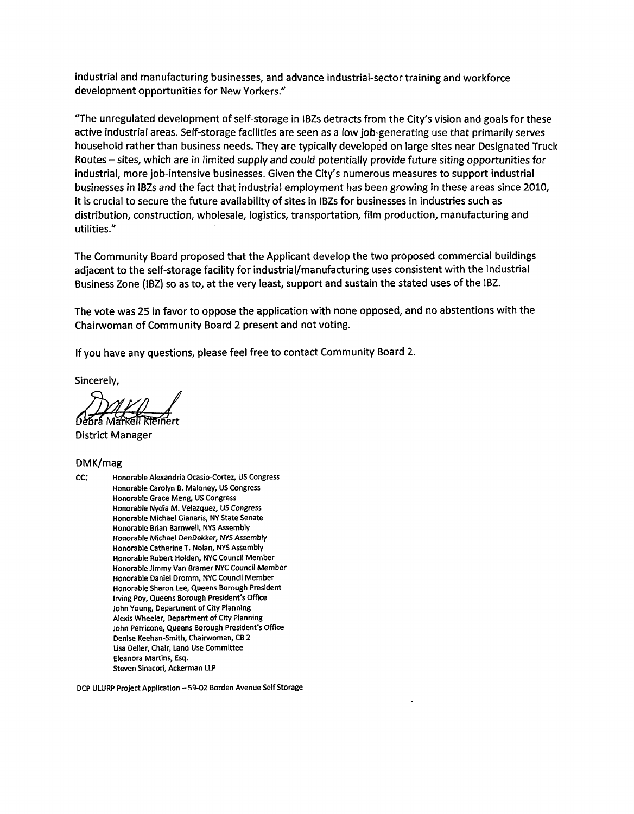industrial and manufacturing businesses, and advance industrial-sector training and workforce development opportunities for New Yorkers."

"The unregulated development of self-storage in IBZs detracts from the City's vision and goals for these active industrial areas. Self-storage facilities are seen as a low job-generating use that primarily serves household rather than business needs. They are typically developed on large sites near Designated Truck Routes – sites, which are in limited supply and could potentially provide future siting opportunities for industrial, more job-intensive businesses. Given the City's numerous measures to support industrial businesses in IBZs and the fact that industrial employment has been growing in these areas since 2010, it is crucial to secure the future availability of sites in IBZs for businesses in industries such as distribution, construction, wholesale, logistics, transportation, film production, manufacturing and utilities."

The Community Board proposed that the Applicant develop the two proposed commercial buildings adjacent to the self-storage facility for industrial/manufacturing uses consistent with the Industrial Business Zone (IBZ) so as to, at the very least, support and sustain the stated uses of the IBZ.

The vote was 25 in favor to oppose the application with none opposed, and no abstentions with the Chairwoman of Community Board 2 present and not voting.

If you have any questions, please feel free to contact Community Board 2.

Sincerely.

**District Manager** 

#### DMK/mag

cc: Honorable Alexandria Ocasio-Cortez, US Congress Honorable Carolyn B. Maloney, US Congress Honorable Grace Meng, US Congress Honorable Nydia M. Velazquez, US Congress Honorable Michael Gianaris, NY State Senate Honorable Brian Barnwell, NYS Assembly Honorable Michael DenDekker, NYS Assembly Honorable Catherine T. Nolan, NYS Assembly Honorable Robert Holden, NYC Council Member Honorable Jimmy Van Bramer NYC Council Member Honorable Daniel Dromm, NYC Council Member Honorable Sharon Lee, Queens Borough President Irving Pov. Queens Borough President's Office John Young, Department of City Planning Alexis Wheeler, Department of City Planning John Perricone, Queens Borough President's Office Denise Keehan-Smith, Chairwoman, CB 2 Lisa Deller, Chair, Land Use Committee Eleanora Martins, Esq. Steven Sinacori, Ackerman LLP

DCP ULURP Project Application - 59-02 Borden Avenue Self Storage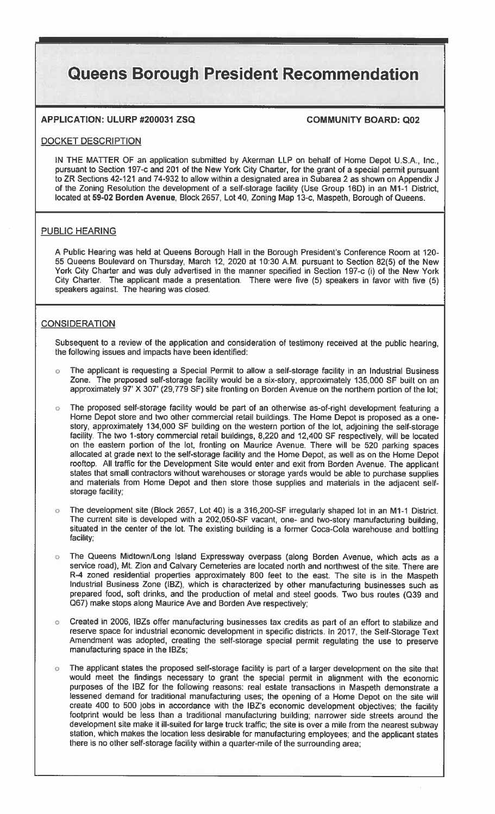## **Queens Borough President Recommendation**

### APPLICATION: ULURP #200031 ZSQ

#### **COMMUNITY BOARD: Q02**

#### DOCKET DESCRIPTION

IN THE MATTER OF an application submitted by Akerman LLP on behalf of Home Depot U.S.A., Inc., pursuant to Section 197-c and 201 of the New York City Charter, for the grant of a special permit pursuant to ZR Sections 42-121 and 74-932 to allow within a designated area in Subarea 2 as shown on Appendix J of the Zoning Resolution the development of a self-storage facility (Use Group 16D) in an M1-1 District, located at 59-02 Borden Avenue, Block 2657, Lot 40, Zoning Map 13-c, Maspeth, Borough of Queens.

#### PUBLIC HEARING

A Public Hearing was held at Queens Borough Hall in the Borough President's Conference Room at 120-55 Queens Boulevard on Thursday, March 12, 2020 at 10:30 A.M. pursuant to Section 82(5) of the New York City Charter and was duly advertised in the manner specified in Section 197-c (i) of the New York City Charter. The applicant made a presentation. There were five (5) speakers in favor with five (5) speakers against. The hearing was closed.

#### **CONSIDERATION**

Subsequent to a review of the application and consideration of testimony received at the public hearing, the following issues and impacts have been identified:

- The applicant is requesting a Special Permit to allow a self-storage facility in an Industrial Business  $\circ$ Zone. The proposed self-storage facility would be a six-story, approximately 135,000 SF built on an approximately 97' X 307' (29,779 SF) site fronting on Borden Avenue on the northern portion of the lot;
- The proposed self-storage facility would be part of an otherwise as-of-right development featuring a  $\circ$ Home Depot store and two other commercial retail buildings. The Home Depot is proposed as a onestory, approximately 134,000 SF building on the western portion of the lot, adjoining the self-storage facility. The two 1-story commercial retail buildings, 8,220 and 12,400 SF respectively, will be located on the eastern portion of the lot, fronting on Maurice Avenue. There will be 520 parking spaces allocated at grade next to the self-storage facility and the Home Depot, as well as on the Home Depot rooftop. All traffic for the Development Site would enter and exit from Borden Avenue. The applicant states that small contractors without warehouses or storage yards would be able to purchase supplies and materials from Home Depot and then store those supplies and materials in the adjacent selfstorage facility;
- The development site (Block 2657, Lot 40) is a 316,200-SF irregularly shaped lot in an M1-1 District. The current site is developed with a 202,050-SF vacant, one- and two-story manufacturing building, situated in the center of the lot. The existing building is a former Coca-Cola warehouse and bottling facility;
- The Queens Midtown/Long Island Expressway overpass (along Borden Avenue, which acts as a service road), Mt. Zion and Calvary Cemeteries are located north and northwest of the site. There are R-4 zoned residential properties approximately 800 feet to the east. The site is in the Maspeth Industrial Business Zone (IBZ), which is characterized by other manufacturing businesses such as prepared food, soft drinks, and the production of metal and steel goods. Two bus routes (Q39 and Q67) make stops along Maurice Ave and Borden Ave respectively;
- Created in 2006, IBZs offer manufacturing businesses tax credits as part of an effort to stabilize and reserve space for industrial economic development in specific districts. In 2017, the Self-Storage Text Amendment was adopted, creating the self-storage special permit regulating the use to preserve manufacturing space in the IBZs;
- The applicant states the proposed self-storage facility is part of a larger development on the site that  $\alpha$ would meet the findings necessary to grant the special permit in alignment with the economic purposes of the IBZ for the following reasons: real estate transactions in Maspeth demonstrate a lessened demand for traditional manufacturing uses, the opening of a Home Depot on the site will create 400 to 500 jobs in accordance with the IBZ's economic development objectives; the facility footprint would be less than a traditional manufacturing building; narrower side streets around the development site make it ill-suited for large truck traffic; the site is over a mile from the nearest subway station, which makes the location less desirable for manufacturing employees; and the applicant states there is no other self-storage facility within a quarter-mile of the surrounding area;